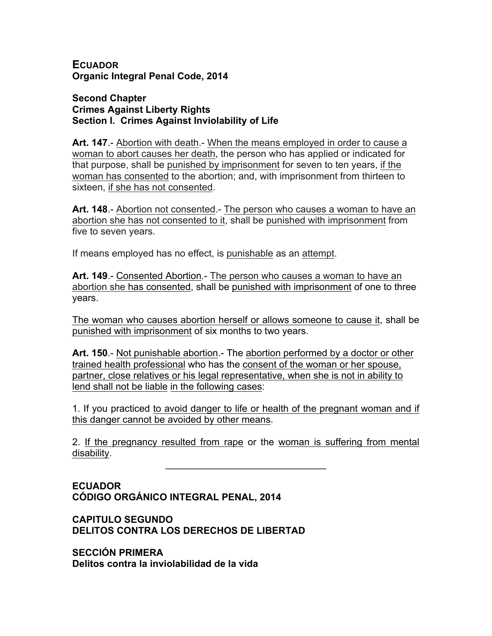**ECUADOR Organic Integral Penal Code, 2014**

## **Second Chapter Crimes Against Liberty Rights Section I. Crimes Against Inviolability of Life**

**Art. 147**.- Abortion with death.- When the means employed in order to cause a woman to abort causes her death, the person who has applied or indicated for that purpose, shall be punished by imprisonment for seven to ten years, if the woman has consented to the abortion; and, with imprisonment from thirteen to sixteen, if she has not consented.

**Art. 148**.- Abortion not consented.- The person who causes a woman to have an abortion she has not consented to it, shall be punished with imprisonment from five to seven years.

If means employed has no effect, is punishable as an attempt.

**Art. 149**.- Consented Abortion.- The person who causes a woman to have an abortion she has consented, shall be punished with imprisonment of one to three years.

The woman who causes abortion herself or allows someone to cause it, shall be punished with imprisonment of six months to two years.

**Art. 150**.- Not punishable abortion.- The abortion performed by a doctor or other trained health professional who has the consent of the woman or her spouse, partner, close relatives or his legal representative, when she is not in ability to lend shall not be liable in the following cases:

1. If you practiced to avoid danger to life or health of the pregnant woman and if this danger cannot be avoided by other means.

2. If the pregnancy resulted from rape or the woman is suffering from mental disability.

 $\mathcal{L}_\text{max}$  , where  $\mathcal{L}_\text{max}$  and  $\mathcal{L}_\text{max}$ 

**ECUADOR CÓDIGO ORGÁNICO INTEGRAL PENAL, 2014**

**CAPITULO SEGUNDO DELITOS CONTRA LOS DERECHOS DE LIBERTAD**

**SECCIÓN PRIMERA Delitos contra la inviolabilidad de la vida**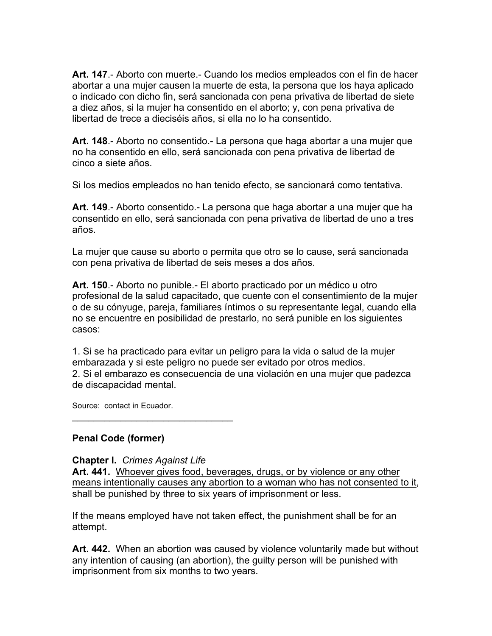**Art. 147**.- Aborto con muerte.- Cuando los medios empleados con el fin de hacer abortar a una mujer causen la muerte de esta, la persona que los haya aplicado o indicado con dicho fin, será sancionada con pena privativa de libertad de siete a diez años, si la mujer ha consentido en el aborto; y, con pena privativa de libertad de trece a dieciséis años, si ella no lo ha consentido.

**Art. 148**.- Aborto no consentido.- La persona que haga abortar a una mujer que no ha consentido en ello, será sancionada con pena privativa de libertad de cinco a siete años.

Si los medios empleados no han tenido efecto, se sancionará como tentativa.

**Art. 149**.- Aborto consentido.- La persona que haga abortar a una mujer que ha consentido en ello, será sancionada con pena privativa de libertad de uno a tres años.

La mujer que cause su aborto o permita que otro se lo cause, será sancionada con pena privativa de libertad de seis meses a dos años.

**Art. 150**.- Aborto no punible.- El aborto practicado por un médico u otro profesional de la salud capacitado, que cuente con el consentimiento de la mujer o de su cónyuge, pareja, familiares íntimos o su representante legal, cuando ella no se encuentre en posibilidad de prestarlo, no será punible en los siguientes casos:

1. Si se ha practicado para evitar un peligro para la vida o salud de la mujer embarazada y si este peligro no puede ser evitado por otros medios. 2. Si el embarazo es consecuencia de una violación en una mujer que padezca de discapacidad mental.

Source: contact in Ecuador.

## **Penal Code (former)**

## **Chapter I.** *Crimes Against Life*

 $\mathcal{L}_\text{max}$  and  $\mathcal{L}_\text{max}$  and  $\mathcal{L}_\text{max}$ 

**Art. 441.** Whoever gives food, beverages, drugs, or by violence or any other means intentionally causes any abortion to a woman who has not consented to it, shall be punished by three to six years of imprisonment or less.

If the means employed have not taken effect, the punishment shall be for an attempt.

**Art. 442.** When an abortion was caused by violence voluntarily made but without any intention of causing (an abortion), the guilty person will be punished with imprisonment from six months to two years.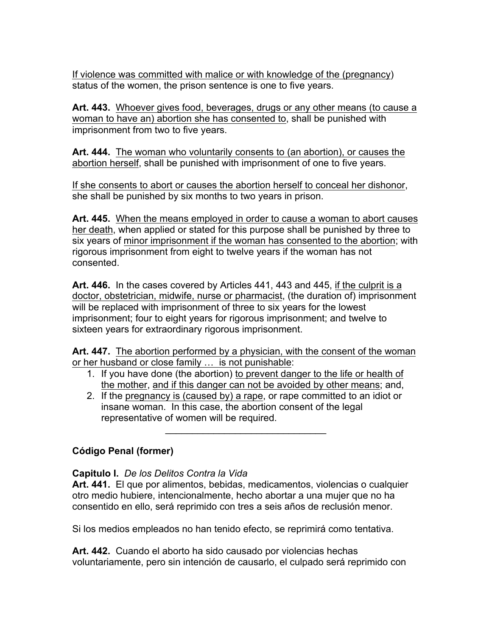If violence was committed with malice or with knowledge of the (pregnancy) status of the women, the prison sentence is one to five years.

**Art. 443.** Whoever gives food, beverages, drugs or any other means (to cause a woman to have an) abortion she has consented to, shall be punished with imprisonment from two to five years.

**Art. 444.** The woman who voluntarily consents to (an abortion), or causes the abortion herself, shall be punished with imprisonment of one to five years.

If she consents to abort or causes the abortion herself to conceal her dishonor, she shall be punished by six months to two years in prison.

**Art. 445.** When the means employed in order to cause a woman to abort causes her death, when applied or stated for this purpose shall be punished by three to six years of minor imprisonment if the woman has consented to the abortion; with rigorous imprisonment from eight to twelve years if the woman has not consented.

**Art. 446.** In the cases covered by Articles 441, 443 and 445, if the culprit is a doctor, obstetrician, midwife, nurse or pharmacist, (the duration of) imprisonment will be replaced with imprisonment of three to six years for the lowest imprisonment; four to eight years for rigorous imprisonment; and twelve to sixteen years for extraordinary rigorous imprisonment.

**Art. 447.** The abortion performed by a physician, with the consent of the woman or her husband or close family … is not punishable:

- 1. If you have done (the abortion) to prevent danger to the life or health of the mother, and if this danger can not be avoided by other means; and,
- 2. If the pregnancy is (caused by) a rape, or rape committed to an idiot or insane woman. In this case, the abortion consent of the legal representative of women will be required.

 $\mathcal{L}_\text{max}$  and  $\mathcal{L}_\text{max}$  and  $\mathcal{L}_\text{max}$ 

## **Código Penal (former)**

**Capitulo I.** *De los Delitos Contra la Vida*

**Art. 441.** El que por alimentos, bebidas, medicamentos, violencias o cualquier otro medio hubiere, intencionalmente, hecho abortar a una mujer que no ha consentido en ello, será reprimido con tres a seis años de reclusión menor.

Si los medios empleados no han tenido efecto, se reprimirá como tentativa.

**Art. 442.** Cuando el aborto ha sido causado por violencias hechas voluntariamente, pero sin intención de causarlo, el culpado será reprimido con